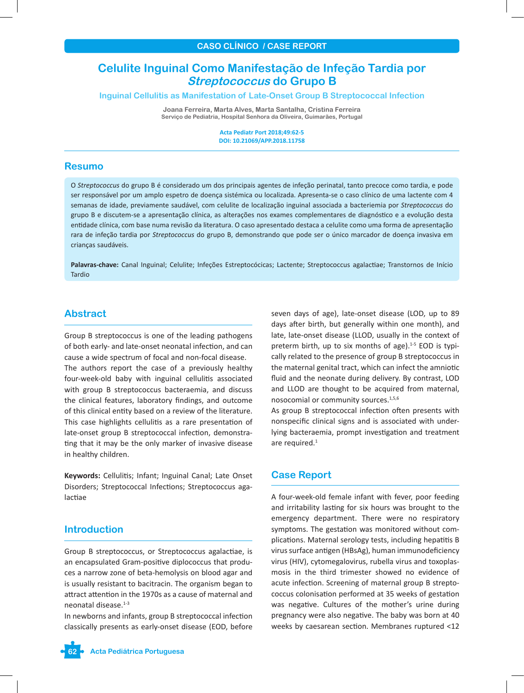# **Celulite Inguinal Como Manifestação de Infeção Tardia por Streptococcus do Grupo B**

### **Inguinal Cellulitis as Manifestation of Late-Onset Group B Streptococcal Infection**

**Joana Ferreira, Marta Alves, Marta Santalha, Cristina Ferreira Serviço de Pediatria, Hospital Senhora da Oliveira, Guimarães, Portugal**

> **Acta Pediatr Port 2018;49:62-5 DOI: 10.21069/APP.2018.11758**

### **Resumo**

O *Streptococcus* do grupo B é considerado um dos principais agentes de infeção perinatal, tanto precoce como tardia, e pode ser responsável por um amplo espetro de doença sistémica ou localizada. Apresenta-se o caso clínico de uma lactente com 4 semanas de idade, previamente saudável, com celulite de localização inguinal associada a bacteriemia por *Streptococcus* do grupo B e discutem-se a apresentação clínica, as alterações nos exames complementares de diagnóstico e a evolução desta entidade clínica, com base numa revisão da literatura. O caso apresentado destaca a celulite como uma forma de apresentação rara de infeção tardia por *Streptococcus* do grupo B, demonstrando que pode ser o único marcador de doença invasiva em crianças saudáveis.

**Palavras-chave:** Canal Inguinal; Celulite; Infeções Estreptocócicas; Lactente; Streptococcus agalactiae; Transtornos de Início Tardio

### **Abstract**

Group B streptococcus is one of the leading pathogens of both early- and late-onset neonatal infection, and can cause a wide spectrum of focal and non-focal disease. The authors report the case of a previously healthy four-week-old baby with inguinal cellulitis associated with group B streptococcus bacteraemia, and discuss the clinical features, laboratory findings, and outcome of this clinical entity based on a review of the literature. This case highlights cellulitis as a rare presentation of late-onset group B streptococcal infection, demonstrating that it may be the only marker of invasive disease in healthy children.

**Keywords:** Cellulitis; Infant; Inguinal Canal; Late Onset Disorders; Streptococcal Infections; Streptococcus agalactiae

## **Introduction**

Group B streptococcus, or Streptococcus agalactiae, is an encapsulated Gram-positive diplococcus that produces a narrow zone of beta-hemolysis on blood agar and is usually resistant to bacitracin. The organism began to attract attention in the 1970s as a cause of maternal and neonatal disease.1-3

In newborns and infants, group B streptococcal infection classically presents as early-onset disease (EOD, before

seven days of age), late-onset disease (LOD, up to 89 days after birth, but generally within one month), and late, late-onset disease (LLOD, usually in the context of preterm birth, up to six months of age). $1-5$  EOD is typically related to the presence of group B streptococcus in the maternal genital tract, which can infect the amniotic fluid and the neonate during delivery. By contrast, LOD and LLOD are thought to be acquired from maternal, nosocomial or community sources.<sup>1,5,6</sup>

As group B streptococcal infection often presents with nonspecific clinical signs and is associated with underlying bacteraemia, prompt investigation and treatment are required.<sup>1</sup>

## **Case Report**

A four-week-old female infant with fever, poor feeding and irritability lasting for six hours was brought to the emergency department. There were no respiratory symptoms. The gestation was monitored without complications. Maternal serology tests, including hepatitis B virus surface antigen (HBsAg), human immunodeficiency virus (HIV), cytomegalovirus, rubella virus and toxoplasmosis in the third trimester showed no evidence of acute infection. Screening of maternal group B streptococcus colonisation performed at 35 weeks of gestation was negative. Cultures of the mother's urine during pregnancy were also negative. The baby was born at 40 weeks by caesarean section. Membranes ruptured <12

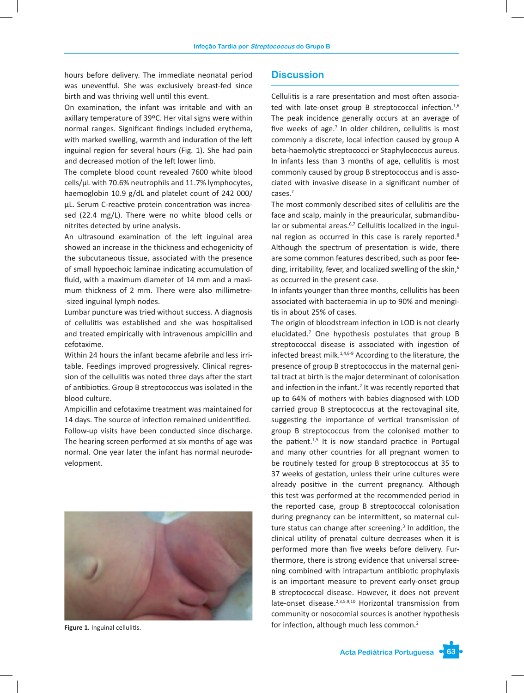hours before delivery. The immediate neonatal period was uneventful. She was exclusively breast-fed since birth and was thriving well until this event.

On examination, the infant was irritable and with an axillary temperature of 39ºC. Her vital signs were within normal ranges. Significant findings included erythema, with marked swelling, warmth and induration of the left inguinal region for several hours (Fig. 1). She had pain and decreased motion of the left lower limb.

The complete blood count revealed 7600 white blood cells/µL with 70.6% neutrophils and 11.7% lymphocytes, haemoglobin 10.9 g/dL and platelet count of 242 000/ µL. Serum C-reactive protein concentration was increased (22.4 mg/L). There were no white blood cells or nitrites detected by urine analysis.

An ultrasound examination of the left inguinal area showed an increase in the thickness and echogenicity of the subcutaneous tissue, associated with the presence of small hypoechoic laminae indicating accumulation of fluid, with a maximum diameter of 14 mm and a maximum thickness of 2 mm. There were also millimetre- -sized inguinal lymph nodes.

Lumbar puncture was tried without success. A diagnosis of cellulitis was established and she was hospitalised and treated empirically with intravenous ampicillin and cefotaxime.

Within 24 hours the infant became afebrile and less irritable. Feedings improved progressively. Clinical regression of the cellulitis was noted three days after the start of antibiotics. Group B streptococcus was isolated in the blood culture.

Ampicillin and cefotaxime treatment was maintained for 14 days. The source of infection remained unidentified. Follow-up visits have been conducted since discharge. The hearing screen performed at six months of age was normal. One year later the infant has normal neurodevelopment.



**Figure 1.** Inguinal cellulitis.

# **Discussion**

Cellulitis is a rare presentation and most often associated with late-onset group B streptococcal infection.<sup>1,6</sup> The peak incidence generally occurs at an average of five weeks of age.<sup>7</sup> In older children, cellulitis is most commonly a discrete, local infection caused by group A beta-haemolytic streptococci or Staphylococcus aureus. In infants less than 3 months of age, cellulitis is most commonly caused by group B streptococcus and is associated with invasive disease in a significant number of cases.7

The most commonly described sites of cellulitis are the face and scalp, mainly in the preauricular, submandibular or submental areas.<sup>6,7</sup> Cellulitis localized in the inguinal region as occurred in this case is rarely reported.<sup>8</sup> Although the spectrum of presentation is wide, there are some common features described, such as poor feeding, irritability, fever, and localized swelling of the skin,<sup>6</sup> as occurred in the present case.

In infants younger than three months, cellulitis has been associated with bacteraemia in up to 90% and meningitis in about 25% of cases.

The origin of bloodstream infection in LOD is not clearly elucidated.7 One hypothesis postulates that group B streptococcal disease is associated with ingestion of infected breast milk.1,4,6-9 According to the literature, the presence of group B streptococcus in the maternal genital tract at birth is the major determinant of colonisation and infection in the infant.<sup>2</sup> It was recently reported that up to 64% of mothers with babies diagnosed with LOD carried group B streptococcus at the rectovaginal site, suggesting the importance of vertical transmission of group B streptococcus from the colonised mother to the patient. $1,5$  It is now standard practice in Portugal and many other countries for all pregnant women to be routinely tested for group B streptococcus at 35 to 37 weeks of gestation, unless their urine cultures were already positive in the current pregnancy. Although this test was performed at the recommended period in the reported case, group B streptococcal colonisation during pregnancy can be intermittent, so maternal culture status can change after screening.<sup>3</sup> In addition, the clinical utility of prenatal culture decreases when it is performed more than five weeks before delivery. Furthermore, there is strong evidence that universal screening combined with intrapartum antibiotic prophylaxis is an important measure to prevent early-onset group B streptococcal disease. However, it does not prevent late-onset disease.<sup>2,3,5,9,10</sup> Horizontal transmission from community or nosocomial sources is another hypothesis for infection, although much less common.<sup>2</sup>

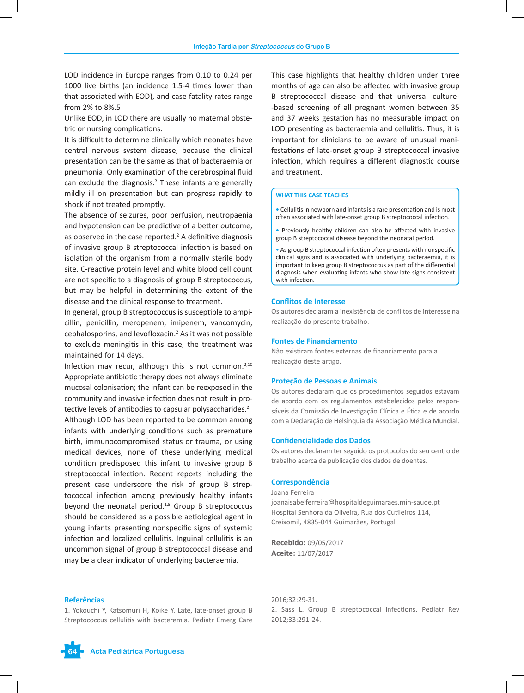LOD incidence in Europe ranges from 0.10 to 0.24 per 1000 live births (an incidence 1.5-4 times lower than that associated with EOD), and case fatality rates range from 2% to 8%.5

Unlike EOD, in LOD there are usually no maternal obstetric or nursing complications.

It is difficult to determine clinically which neonates have central nervous system disease, because the clinical presentation can be the same as that of bacteraemia or pneumonia. Only examination of the cerebrospinal fluid can exclude the diagnosis. $2$  These infants are generally mildly ill on presentation but can progress rapidly to shock if not treated promptly.

The absence of seizures, poor perfusion, neutropaenia and hypotension can be predictive of a better outcome, as observed in the case reported. $2$  A definitive diagnosis of invasive group B streptococcal infection is based on isolation of the organism from a normally sterile body site. C-reactive protein level and white blood cell count are not specific to a diagnosis of group B streptococcus, but may be helpful in determining the extent of the disease and the clinical response to treatment.

In general, group B streptococcus is susceptible to ampicillin, penicillin, meropenem, imipenem, vancomycin, cephalosporins, and levofloxacin.<sup>2</sup> As it was not possible to exclude meningitis in this case, the treatment was maintained for 14 days.

Infection may recur, although this is not common.<sup>2,10</sup> Appropriate antibiotic therapy does not always eliminate mucosal colonisation; the infant can be reexposed in the community and invasive infection does not result in protective levels of antibodies to capsular polysaccharides.<sup>2</sup> Although LOD has been reported to be common among infants with underlying conditions such as premature birth, immunocompromised status or trauma, or using medical devices, none of these underlying medical condition predisposed this infant to invasive group B streptococcal infection. Recent reports including the present case underscore the risk of group B streptococcal infection among previously healthy infants beyond the neonatal period. $1,5$  Group B streptococcus should be considered as a possible aetiological agent in young infants presenting nonspecific signs of systemic infection and localized cellulitis. Inguinal cellulitis is an uncommon signal of group B streptococcal disease and may be a clear indicator of underlying bacteraemia.

This case highlights that healthy children under three months of age can also be affected with invasive group B streptococcal disease and that universal culture- -based screening of all pregnant women between 35 and 37 weeks gestation has no measurable impact on LOD presenting as bacteraemia and cellulitis. Thus, it is important for clinicians to be aware of unusual manifestations of late-onset group B streptococcal invasive infection, which requires a different diagnostic course and treatment.

#### **WHAT THIS CASE TEACHES**

**•** Cellulitis in newborn and infants is a rare presentation and is most often associated with late-onset group B streptococcal infection.

**•** Previously healthy children can also be affected with invasive group B streptococcal disease beyond the neonatal period.

• As group B streptococcal infection often presents with nonspecific clinical signs and is associated with underlying bacteraemia, it is important to keep group B streptococcus as part of the differential diagnosis when evaluating infants who show late signs consistent with infection.

#### **Conflitos de Interesse**

Os autores declaram a inexistência de conflitos de interesse na realização do presente trabalho.

#### **Fontes de Financiamento**

Não existiram fontes externas de financiamento para a realização deste artigo.

#### **Proteção de Pessoas e Animais**

Os autores declaram que os procedimentos seguidos estavam de acordo com os regulamentos estabelecidos pelos responsáveis da Comissão de Investigação Clínica e Ética e de acordo com a Declaração de Helsínquia da Associação Médica Mundial.

### **Confidencialidade dos Dados**

Os autores declaram ter seguido os protocolos do seu centro de trabalho acerca da publicação dos dados de doentes.

#### **Correspondência**

Joana Ferreira

joanaisabelferreira@hospitaldeguimaraes.min-saude.pt Hospital Senhora da Oliveira, Rua dos Cutileiros 114, Creixomil, 4835-044 Guimarães, Portugal

**Recebido:** 09/05/2017 **Aceite:** 11/07/2017

### **Referências**

1. Yokouchi Y, Katsomuri H, Koike Y. Late, late-onset group B Streptococcus cellulitis with bacteremia. Pediatr Emerg Care 2016;32:29-31.

2. Sass L. Group B streptococcal infections. Pediatr Rev 2012;33:291-24.